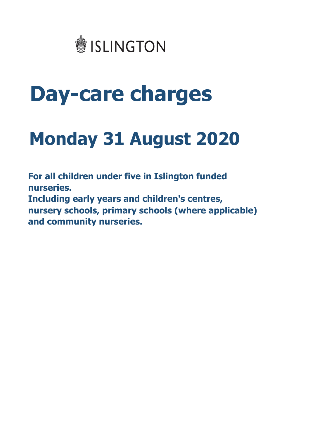

# **Day-care charges**

## **Monday 31 August 2020**

**nurseries. and community nurseries. For all children under five in Islington funded Including early years and children's centres, nursery schools, primary schools (where applicable)**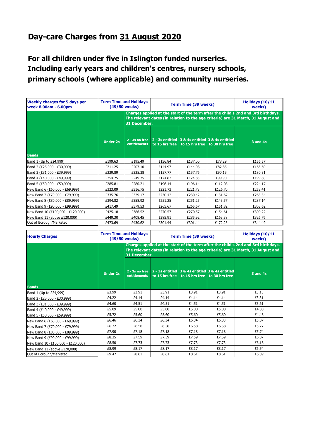#### **Day-care Charges from 31 August 2020**

**For all children under five in Islington funded nurseries. Including early years and children's centres, nursery schools, primary schools (where applicable) and community nurseries.**

| <b>Weekly charges for 5 days per</b><br>week 8.00am - 6.00pm | <b>Term Time and Holidays</b><br>(49/50 weeks) |                                                                                                                                                                                       | <b>Term Time (39 weeks)</b> |                               |                                                                   | Holidays (10/11<br>weeks) |
|--------------------------------------------------------------|------------------------------------------------|---------------------------------------------------------------------------------------------------------------------------------------------------------------------------------------|-----------------------------|-------------------------------|-------------------------------------------------------------------|---------------------------|
|                                                              |                                                | Charges applied at the start of the term after the child's 2nd and 3rd birthdays.<br>The relevant dates (in relation to the age criteria) are 31 March, 31 August and<br>31 December. |                             |                               |                                                                   |                           |
|                                                              | <b>Under 2s</b>                                | $2 - 3s$ no free<br>entitlements                                                                                                                                                      |                             | to 15 hrs free to 15 hrs free | 2 - 3s entitled 3 & 4s entitled 3 & 4s entitled<br>to 30 hrs free | $3$ and $4s$              |
| <b>Bands</b>                                                 |                                                |                                                                                                                                                                                       |                             |                               |                                                                   |                           |
| Band 1 (Up to £24,999)                                       | £199.63                                        | £195.49                                                                                                                                                                               | £136.84                     | £137.00                       | £78.29                                                            | £156.57                   |
| Band 2 (£25,000 - £30,999)                                   | £211.25                                        | £207.10                                                                                                                                                                               | £144.97                     | £144.98                       | £82.85                                                            | £165.69                   |
| Band 3 (£31,000 - £39,999)                                   | £229.89                                        | £225.38                                                                                                                                                                               | £157.77                     | £157.76                       | £90.15                                                            | £180.31                   |
| Band 4 (£40,000 - £49,999)                                   | £254.75                                        | £249.75                                                                                                                                                                               | £174.83                     | £174.83                       | £99.90                                                            | £199.80                   |
| Band 5 (£50,000 - £59,999)                                   | £285.81                                        | £280.21                                                                                                                                                                               | £196.14                     | £196.14                       | £112.08                                                           | £224.17                   |
| New Band 6 (£60,000 - £69,999)                               | £323.09                                        | £316.75                                                                                                                                                                               | £221.73                     | £221.73                       | £126.70                                                           | £253.41                   |
| New Band 7 (£70,000 - £79,999)                               | £335.76                                        | £329.17                                                                                                                                                                               | £230.42                     | £230.42                       | £131.67                                                           | £263.34                   |
| New Band 8 (£80,000 - £89,999)                               | £394.82                                        | £358.92                                                                                                                                                                               | £251.25                     | £251.25                       | £143.57                                                           | £287.14                   |
| New Band 9 (£90,000 - £99,999)                               | £417.49                                        | £379.53                                                                                                                                                                               | £265.67                     | £265.67                       | £151.82                                                           | £303.62                   |
| New Band 10 (£100,000 - £120,000)                            | £425.18                                        | £386.52                                                                                                                                                                               | £270.57                     | £270.57                       | £154.61                                                           | £309.22                   |
| New Band 11 (above £120,000)                                 | £449.30                                        | £408.45                                                                                                                                                                               | £285.91                     | £285.92                       | £163.38                                                           | £326.76                   |
| Out of Borough/Marketed                                      | £473.69                                        | £430.62                                                                                                                                                                               | £301.44                     | £301.44                       | £172.25                                                           | £344.49                   |

| <b>Hourly Charges</b>             | <b>Term Time and Holidays</b><br>(49/50 weeks) |                                                                                                                                                                                       | <b>Term Time (39 weeks)</b> |                                                                                                 |       | Holidays (10/11<br>weeks) |
|-----------------------------------|------------------------------------------------|---------------------------------------------------------------------------------------------------------------------------------------------------------------------------------------|-----------------------------|-------------------------------------------------------------------------------------------------|-------|---------------------------|
|                                   |                                                | Charges applied at the start of the term after the child's 2nd and 3rd birthdays.<br>The relevant dates (in relation to the age criteria) are 31 March, 31 August and<br>31 December. |                             |                                                                                                 |       |                           |
| <b>Bands</b>                      | <b>Under 2s</b>                                | $2 - 3s$ no free<br>entitlements                                                                                                                                                      |                             | 2 - 3s entitled 3 & 4s entitled 3 & 4s entitled<br>to 15 hrs free to 15 hrs free to 30 hrs free |       | $3$ and $4s$              |
| Band 1 (Up to £24,999)            | £3.99                                          | £3.91                                                                                                                                                                                 | £3.91                       | £3.91                                                                                           | £3.91 | £3.13                     |
| Band 2 (£25,000 - £30,999)        | £4.22                                          | £4.14                                                                                                                                                                                 | £4.14                       | £4.14                                                                                           | £4.14 | £3.31                     |
| Band 3 (£31,000 - £39,999)        | £4.60                                          | £4.51                                                                                                                                                                                 | £4.51                       | £4.51                                                                                           | £4.51 | £3.61                     |
| Band 4 (£40,000 - £49,999)        | £5.09                                          | £5.00                                                                                                                                                                                 | £5.00                       | £5.00                                                                                           | £5.00 | £4.00                     |
| Band 5 (£50,000 - £59,999)        | £5.72                                          | £5.60                                                                                                                                                                                 | £5.60                       | £5.60                                                                                           | £5.60 | £4.48                     |
| New Band 6 (£60,000 - £69,999)    | £6.46                                          | £6.34                                                                                                                                                                                 | £6.34                       | £6.34                                                                                           | £6.33 | £5.07                     |
| New Band 7 (£70,000 - £79,999)    | £6.72                                          | £6.58                                                                                                                                                                                 | £6.58                       | £6.58                                                                                           | £6.58 | £5.27                     |
| New Band 8 (£80,000 - £89,999)    | £7.90                                          | £7.18                                                                                                                                                                                 | £7.18                       | £7.18                                                                                           | £7.18 | £5.74                     |
| New Band 9 (£90,000 - £99,999)    | £8.35                                          | £7.59                                                                                                                                                                                 | £7.59                       | £7.59                                                                                           | £7.59 | £6.07                     |
| New Band 10 (£100,000 - £120,000) | £8.50                                          | £7.73                                                                                                                                                                                 | £7.73                       | £7.73                                                                                           | £7.73 | £6.18                     |
| New Band 11 (above £120,000)      | £8.99                                          | £8.17                                                                                                                                                                                 | £8.17                       | £8.17                                                                                           | £8.17 | £6.54                     |
| Out of Borough/Marketed           | £9.47                                          | £8.61                                                                                                                                                                                 | £8.61                       | £8.61                                                                                           | £8.61 | £6.89                     |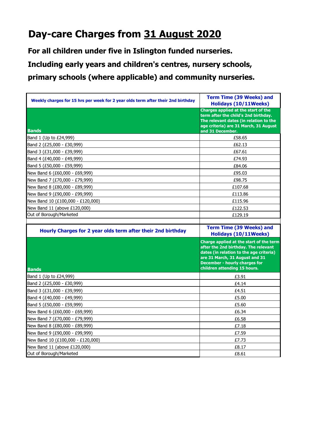## **Day-care Charges from 31 August 2020**

**For all children under five in Islington funded nurseries.**

**Including early years and children's centres, nursery schools,** 

**primary schools (where applicable) and community nurseries.**

| Weekly charges for 15 hrs per week for 2 year olds term after their 2nd birthday | <b>Term Time (39 Weeks) and</b><br>Holidays (10/11Weeks)                                                                                                                                                                             |  |  |
|----------------------------------------------------------------------------------|--------------------------------------------------------------------------------------------------------------------------------------------------------------------------------------------------------------------------------------|--|--|
| <b>Bands</b>                                                                     | Charges applied at the start of the<br>term after the child's 2nd birthday.<br>The relevant dates (in relation to the<br>age criteria) are 31 March, 31 August<br>and 31 December.                                                   |  |  |
| Band 1 (Up to £24,999)                                                           | £58.65                                                                                                                                                                                                                               |  |  |
| Band 2 (£25,000 - £30,999)                                                       | £62.13                                                                                                                                                                                                                               |  |  |
| Band 3 (£31,000 - £39,999)                                                       | £67.61                                                                                                                                                                                                                               |  |  |
| Band 4 (£40,000 - £49,999)                                                       | £74.93                                                                                                                                                                                                                               |  |  |
| Band 5 (£50,000 - £59,999)                                                       | £84.06                                                                                                                                                                                                                               |  |  |
| New Band 6 (£60,000 - £69,999)                                                   | £95.03                                                                                                                                                                                                                               |  |  |
| New Band 7 (£70,000 - £79,999)                                                   | £98.75                                                                                                                                                                                                                               |  |  |
| New Band 8 (£80,000 - £89,999)                                                   | £107.68                                                                                                                                                                                                                              |  |  |
| New Band 9 (£90,000 - £99,999)                                                   | £113.86                                                                                                                                                                                                                              |  |  |
| New Band 10 (£100,000 - £120,000)                                                | £115.96                                                                                                                                                                                                                              |  |  |
| New Band 11 (above £120,000)                                                     | £122.53                                                                                                                                                                                                                              |  |  |
| Out of Borough/Marketed                                                          | £129.19                                                                                                                                                                                                                              |  |  |
|                                                                                  |                                                                                                                                                                                                                                      |  |  |
| Hourly Charges for 2 year olds term after their 2nd birthday                     | <b>Term Time (39 Weeks) and</b><br><b>Holidays (10/11Weeks)</b>                                                                                                                                                                      |  |  |
|                                                                                  |                                                                                                                                                                                                                                      |  |  |
| <b>Bands</b>                                                                     | Charge applied at the start of the term<br>after the 2nd birthday. The relevant<br>dates (in relation to the age criteria)<br>are 31 March, 31 August and 31<br><b>December - hourly charges for</b><br>children attending 15 hours. |  |  |
| Band 1 (Up to £24,999)                                                           | £3.91                                                                                                                                                                                                                                |  |  |
| Band 2 (£25,000 - £30,999)                                                       | £4.14                                                                                                                                                                                                                                |  |  |
| Band 3 (£31,000 - £39,999)                                                       | £4.51                                                                                                                                                                                                                                |  |  |
| Band 4 (£40,000 - £49,999)                                                       | £5.00                                                                                                                                                                                                                                |  |  |
| Band 5 (£50,000 - £59,999)                                                       | £5.60                                                                                                                                                                                                                                |  |  |
| New Band 6 (£60,000 - £69,999)                                                   | £6.34                                                                                                                                                                                                                                |  |  |
| New Band 7 (£70,000 - £79,999)                                                   | £6.58                                                                                                                                                                                                                                |  |  |
| New Band 8 (£80,000 - £89,999)                                                   | £7.18                                                                                                                                                                                                                                |  |  |
| New Band 9 (£90,000 - £99,999)                                                   | £7.59                                                                                                                                                                                                                                |  |  |
| New Band 10 (£100,000 - £120,000)                                                | £7.73                                                                                                                                                                                                                                |  |  |
| New Band 11 (above £120,000)<br>Out of Borough/Marketed                          | £8.17                                                                                                                                                                                                                                |  |  |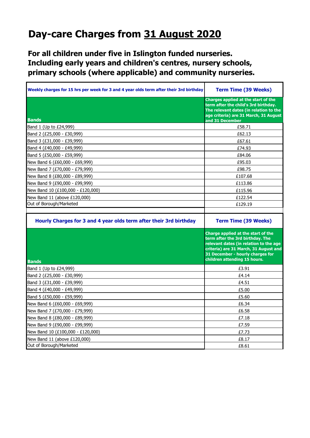## **Day-care Charges from 31 August 2020**

**For all children under five in Islington funded nurseries. Including early years and children's centres, nursery schools, primary schools (where applicable) and community nurseries.**

| Weekly charges for 15 hrs per week for 3 and 4 year olds term after their 3rd birthday | <b>Term Time (39 Weeks)</b>                                                                                                                                                                                                   |  |
|----------------------------------------------------------------------------------------|-------------------------------------------------------------------------------------------------------------------------------------------------------------------------------------------------------------------------------|--|
| <b>Bands</b>                                                                           | <b>Charges applied at the start of the</b><br>term after the child's 3rd birthday.<br>The relevant dates (in relation to the<br>age criteria) are 31 March, 31 August<br>and 31 December                                      |  |
| Band 1 (Up to £24,999)                                                                 | £58.71                                                                                                                                                                                                                        |  |
| Band 2 (£25,000 - £30,999)                                                             | £62.13                                                                                                                                                                                                                        |  |
| Band 3 (£31,000 - £39,999)                                                             | £67.61                                                                                                                                                                                                                        |  |
| Band 4 (£40,000 - £49,999)                                                             | £74.93                                                                                                                                                                                                                        |  |
| Band 5 (£50,000 - £59,999)                                                             | £84.06                                                                                                                                                                                                                        |  |
| New Band 6 (£60,000 - £69,999)                                                         | £95.03                                                                                                                                                                                                                        |  |
| New Band 7 (£70,000 - £79,999)                                                         | £98.75                                                                                                                                                                                                                        |  |
| New Band 8 (£80,000 - £89,999)                                                         | £107.68                                                                                                                                                                                                                       |  |
| New Band 9 (£90,000 - £99,999)                                                         | £113.86                                                                                                                                                                                                                       |  |
| New Band 10 (£100,000 - £120,000)                                                      | £115.96                                                                                                                                                                                                                       |  |
| New Band 11 (above £120,000)                                                           | £122.54                                                                                                                                                                                                                       |  |
| Out of Borough/Marketed                                                                | £129.19                                                                                                                                                                                                                       |  |
|                                                                                        |                                                                                                                                                                                                                               |  |
| Hourly Charges for 3 and 4 year olds term after their 3rd birthday                     | <b>Term Time (39 Weeks)</b>                                                                                                                                                                                                   |  |
|                                                                                        |                                                                                                                                                                                                                               |  |
| <b>Bands</b>                                                                           | Charge applied at the start of the<br>term after the 3rd birthday. The<br>relevant dates (in relation to the age<br>criteria) are 31 March, 31 August and<br>31 December - hourly charges for<br>children attending 15 hours. |  |
| Band 1 (Up to £24,999)                                                                 | £3.91                                                                                                                                                                                                                         |  |
| Band 2 (£25,000 - £30,999)                                                             | £4.14                                                                                                                                                                                                                         |  |
| Band 3 (£31,000 - £39,999)                                                             | £4.51                                                                                                                                                                                                                         |  |
| Band 4 (£40,000 - £49,999)                                                             | £5.00                                                                                                                                                                                                                         |  |
| Band 5 (£50,000 - £59,999)                                                             | £5.60                                                                                                                                                                                                                         |  |
| New Band 6 (£60,000 - £69,999)                                                         | £6.34                                                                                                                                                                                                                         |  |
| New Band 7 (£70,000 - £79,999)                                                         | £6.58                                                                                                                                                                                                                         |  |
| New Band 8 (£80,000 - £89,999)                                                         | £7.18                                                                                                                                                                                                                         |  |
| New Band 9 (£90,000 - £99,999)                                                         | £7.59                                                                                                                                                                                                                         |  |
| New Band 10 (£100,000 - £120,000)                                                      | £7.73                                                                                                                                                                                                                         |  |
| New Band 11 (above £120,000)                                                           | £8.17                                                                                                                                                                                                                         |  |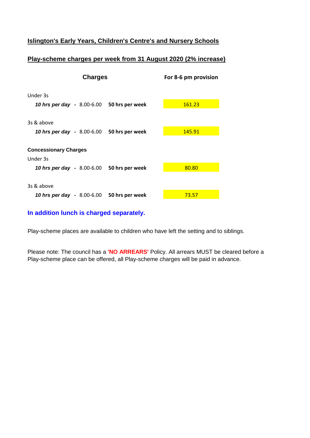#### **Islington's Early Years, Children's Centre's and Nursery Schools**

#### **Play-scheme charges per week from 31 August 2020 (2% increase)**

| <b>Charges</b>                             | For 8-6 pm provision |        |
|--------------------------------------------|----------------------|--------|
| Under 3s                                   |                      |        |
| 10 hrs per day - 8.00-6.00 50 hrs per week |                      | 161.23 |
| 3s & above                                 |                      |        |
| 10 hrs per day - 8.00-6.00 50 hrs per week |                      | 145.91 |
| <b>Concessionary Charges</b>               |                      |        |
| Under 3s                                   |                      |        |
| 10 hrs per day - 8.00-6.00 50 hrs per week |                      | 80.80  |
|                                            |                      |        |
| 3s & above                                 |                      |        |
| 10 hrs per day - 8.00-6.00 50 hrs per week |                      | 73.57  |

#### **In addition lunch is charged separately.**

Play-scheme places are available to children who have left the setting and to siblings.

Please note: The council has a **'NO ARREARS'** Policy. All arrears MUST be cleared before a Play-scheme place can be offered, all Play-scheme charges will be paid in advance.